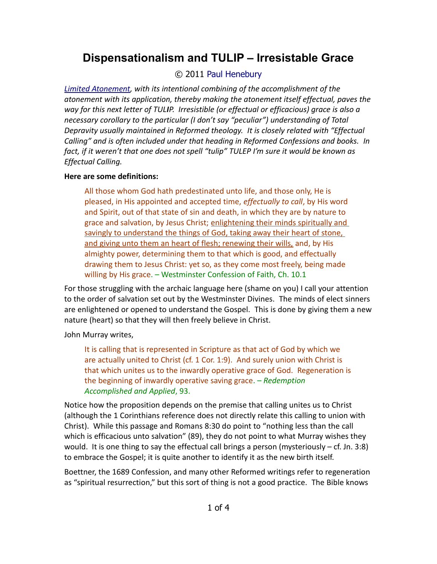# **Dispensationalism and TULIP – Irresistable Grace**

# © 2011 [Paul Henebury](http://www.spiritandtruth.org/id/ph.htm)

*[Limited Atonement,](http://drreluctant.wordpress.com/2011/04/19/dispensationalism-and-tulip-limited-atonement/) with its intentional combining of the accomplishment of the atonement with its application, thereby making the atonement itself effectual, paves the way for this next letter of TULIP. Irresistible (or effectual or efficacious) grace is also a necessary corollary to the particular (I don't say "peculiar") understanding of Total Depravity usually maintained in Reformed theology. It is closely related with "Effectual Calling" and is often included under that heading in Reformed Confessions and books. In fact, if it weren't that one does not spell "tulip" TULEP I'm sure it would be known as Effectual Calling.*

### **Here are some definitions:**

All those whom God hath predestinated unto life, and those only, He is pleased, in His appointed and accepted time, *effectually to call*, by His word and Spirit, out of that state of sin and death, in which they are by nature to grace and salvation, by Jesus Christ; enlightening their minds spiritually and savingly to understand the things of God, taking away their heart of stone, and giving unto them an heart of flesh; renewing their wills, and, by His almighty power, determining them to that which is good, and effectually drawing them to Jesus Christ: yet so, as they come most freely, being made willing by His grace. – Westminster Confession of Faith, Ch. 10.1

For those struggling with the archaic language here (shame on you) I call your attention to the order of salvation set out by the Westminster Divines. The minds of elect sinners are enlightened or opened to understand the Gospel. This is done by giving them a new nature (heart) so that they will then freely believe in Christ.

## John Murray writes,

It is calling that is represented in Scripture as that act of God by which we are actually united to Christ (cf. 1 Cor. 1:9). And surely union with Christ is that which unites us to the inwardly operative grace of God. Regeneration is the beginning of inwardly operative saving grace. – *Redemption Accomplished and Applied*, 93.

Notice how the proposition depends on the premise that calling unites us to Christ (although the 1 Corinthians reference does not directly relate this calling to union with Christ). While this passage and Romans 8:30 do point to "nothing less than the call which is efficacious unto salvation" (89), they do not point to what Murray wishes they would. It is one thing to say the effectual call brings a person (mysteriously  $-$  cf. Jn. 3:8) to embrace the Gospel; it is quite another to identify it as the new birth itself.

Boettner, the 1689 Confession, and many other Reformed writings refer to regeneration as "spiritual resurrection," but this sort of thing is not a good practice. The Bible knows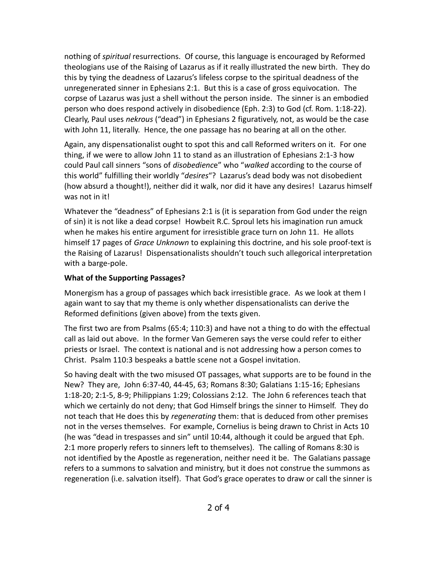nothing of *spiritual* resurrections. Of course, this language is encouraged by Reformed theologians use of the Raising of Lazarus as if it really illustrated the new birth. They do this by tying the deadness of Lazarus's lifeless corpse to the spiritual deadness of the unregenerated sinner in Ephesians 2:1. But this is a case of gross equivocation. The corpse of Lazarus was just a shell without the person inside. The sinner is an embodied person who does respond actively in disobedience (Eph. 2:3) to God (cf. Rom. 1:18-22). Clearly, Paul uses *nekrous* ("dead") in Ephesians 2 figuratively, not, as would be the case with John 11, literally. Hence, the one passage has no bearing at all on the other.

Again, any dispensationalist ought to spot this and call Reformed writers on it. For one thing, if we were to allow John 11 to stand as an illustration of Ephesians 2:1-3 how could Paul call sinners "sons of *disobedienc*e" who "*walked* according to the course of this world" fulfilling their worldly "*desires*"? Lazarus's dead body was not disobedient (how absurd a thought!), neither did it walk, nor did it have any desires! Lazarus himself was not in it!

Whatever the "deadness" of Ephesians 2:1 is (it is separation from God under the reign of sin) it is not like a dead corpse! Howbeit R.C. Sproul lets his imagination run amuck when he makes his entire argument for irresistible grace turn on John 11. He allots himself 17 pages of *Grace Unknown* to explaining this doctrine, and his sole proof-text is the Raising of Lazarus! Dispensationalists shouldn't touch such allegorical interpretation with a barge-pole.

#### **What of the Supporting Passages?**

Monergism has a group of passages which back irresistible grace. As we look at them I again want to say that my theme is only whether dispensationalists can derive the Reformed definitions (given above) from the texts given.

The first two are from Psalms (65:4; 110:3) and have not a thing to do with the effectual call as laid out above. In the former Van Gemeren says the verse could refer to either priests or Israel. The context is national and is not addressing how a person comes to Christ. Psalm 110:3 bespeaks a battle scene not a Gospel invitation.

So having dealt with the two misused OT passages, what supports are to be found in the New? They are, John 6:37-40, 44-45, 63; Romans 8:30; Galatians 1:15-16; Ephesians 1:18-20; 2:1-5, 8-9; Philippians 1:29; Colossians 2:12. The John 6 references teach that which we certainly do not deny; that God Himself brings the sinner to Himself. They do not teach that He does this by *regenerating* them: that is deduced from other premises not in the verses themselves. For example, Cornelius is being drawn to Christ in Acts 10 (he was "dead in trespasses and sin" until 10:44, although it could be argued that Eph. 2:1 more properly refers to sinners left to themselves). The calling of Romans 8:30 is not identified by the Apostle as regeneration, neither need it be. The Galatians passage refers to a summons to salvation and ministry, but it does not construe the summons as regeneration (i.e. salvation itself). That God's grace operates to draw or call the sinner is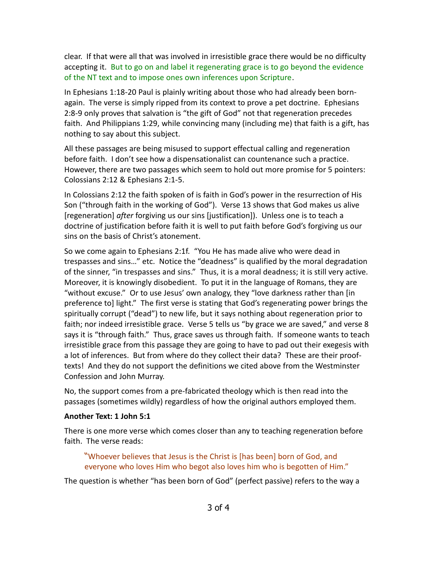clear. If that were all that was involved in irresistible grace there would be no difficulty accepting it. But to go on and label it regenerating grace is to go beyond the evidence of the NT text and to impose ones own inferences upon Scripture.

In Ephesians 1:18-20 Paul is plainly writing about those who had already been bornagain. The verse is simply ripped from its context to prove a pet doctrine. Ephesians 2:8-9 only proves that salvation is "the gift of God" not that regeneration precedes faith. And Philippians 1:29, while convincing many (including me) that faith is a gift, has nothing to say about this subject.

All these passages are being misused to support effectual calling and regeneration before faith. I don't see how a dispensationalist can countenance such a practice. However, there are two passages which seem to hold out more promise for 5 pointers: Colossians 2:12 & Ephesians 2:1-5.

In Colossians 2:12 the faith spoken of is faith in God's power in the resurrection of His Son ("through faith in the working of God"). Verse 13 shows that God makes us alive [regeneration] *after* forgiving us our sins [justification]). Unless one is to teach a doctrine of justification before faith it is well to put faith before God's forgiving us our sins on the basis of Christ's atonement.

So we come again to Ephesians 2:1f. "You He has made alive who were dead in trespasses and sins…" etc. Notice the "deadness" is qualified by the moral degradation of the sinner, "in trespasses and sins." Thus, it is a moral deadness; it is still very active. Moreover, it is knowingly disobedient. To put it in the language of Romans, they are "without excuse." Or to use Jesus' own analogy, they "love darkness rather than [in preference to] light." The first verse is stating that God's regenerating power brings the spiritually corrupt ("dead") to new life, but it says nothing about regeneration prior to faith; nor indeed irresistible grace. Verse 5 tells us "by grace we are saved," and verse 8 says it is "through faith." Thus, grace saves us through faith. If someone wants to teach irresistible grace from this passage they are going to have to pad out their exegesis with a lot of inferences. But from where do they collect their data? These are their prooftexts! And they do not support the definitions we cited above from the Westminster Confession and John Murray.

No, the support comes from a pre-fabricated theology which is then read into the passages (sometimes wildly) regardless of how the original authors employed them.

#### **Another Text: 1 John 5:1**

There is one more verse which comes closer than any to teaching regeneration before faith. The verse reads:

"Whoever believes that Jesus is the Christ is [has been] born of God, and everyone who loves Him who begot also loves him who is begotten of Him."

The question is whether "has been born of God" (perfect passive) refers to the way a